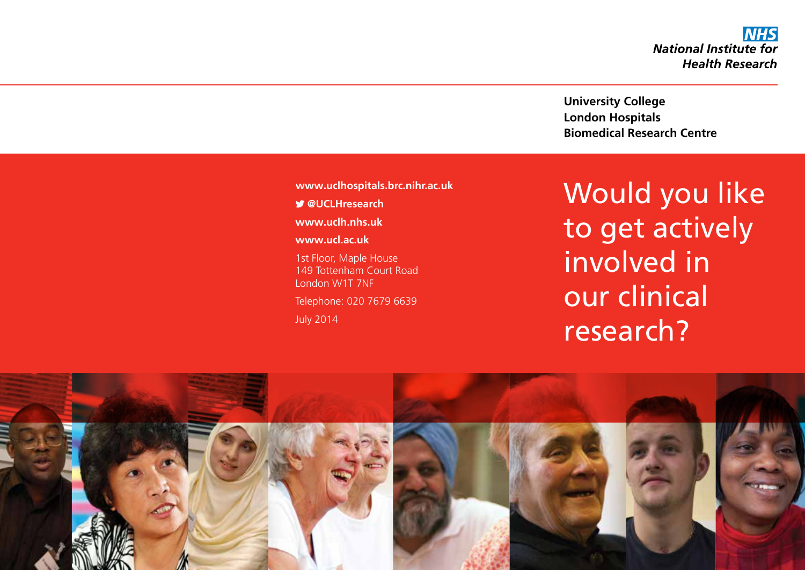**NHS National Institute for Health Research** 

**University College London Hospitals Biomedical Research Centre**

**www.uclhospitals.brc.nihr.ac.uk**

 **@UCLHresearch**

**www.uclh.nhs.uk**

**www.ucl.ac.uk**

1st Floor, Maple House 149 Tottenham Court Road London W1T 7NF Telephone: 020 7679 6639 July 2014

Would you like to get actively involved in our clinical research?